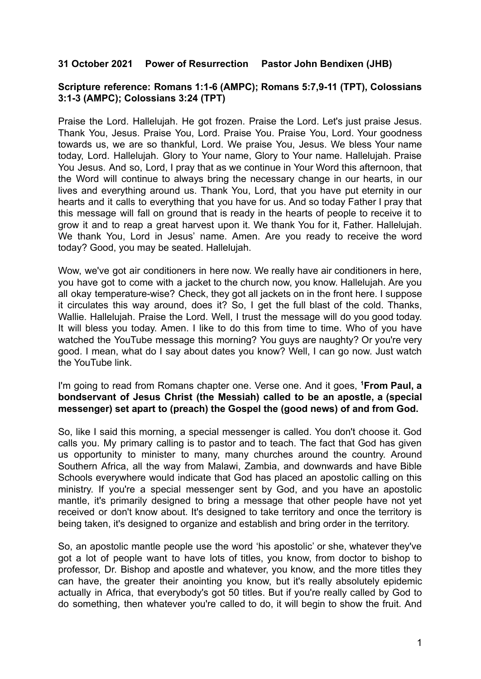## **31 October 2021 Power of Resurrection Pastor John Bendixen (JHB)**

## **Scripture reference: Romans 1:1-6 (AMPC); Romans 5:7,9-11 (TPT), Colossians 3:1-3 (AMPC); Colossians 3:24 (TPT)**

Praise the Lord. Hallelujah. He got frozen. Praise the Lord. Let's just praise Jesus. Thank You, Jesus. Praise You, Lord. Praise You. Praise You, Lord. Your goodness towards us, we are so thankful, Lord. We praise You, Jesus. We bless Your name today, Lord. Hallelujah. Glory to Your name, Glory to Your name. Hallelujah. Praise You Jesus. And so, Lord, I pray that as we continue in Your Word this afternoon, that the Word will continue to always bring the necessary change in our hearts, in our lives and everything around us. Thank You, Lord, that you have put eternity in our hearts and it calls to everything that you have for us. And so today Father I pray that this message will fall on ground that is ready in the hearts of people to receive it to grow it and to reap a great harvest upon it. We thank You for it, Father. Hallelujah. We thank You, Lord in Jesus' name. Amen. Are you ready to receive the word today? Good, you may be seated. Hallelujah.

Wow, we've got air conditioners in here now. We really have air conditioners in here, you have got to come with a jacket to the church now, you know. Hallelujah. Are you all okay temperature-wise? Check, they got all jackets on in the front here. I suppose it circulates this way around, does it? So, I get the full blast of the cold. Thanks, Wallie. Hallelujah. Praise the Lord. Well, I trust the message will do you good today. It will bless you today. Amen. I like to do this from time to time. Who of you have watched the YouTube message this morning? You guys are naughty? Or you're very good. I mean, what do I say about dates you know? Well, I can go now. Just watch the YouTube link.

## I'm going to read from Romans chapter one. Verse one. And it goes, **<sup>1</sup>From Paul, a bondservant of Jesus Christ (the Messiah) called to be an apostle, a (special messenger) set apart to (preach) the Gospel the (good news) of and from God.**

So, like I said this morning, a special messenger is called. You don't choose it. God calls you. My primary calling is to pastor and to teach. The fact that God has given us opportunity to minister to many, many churches around the country. Around Southern Africa, all the way from Malawi, Zambia, and downwards and have Bible Schools everywhere would indicate that God has placed an apostolic calling on this ministry. If you're a special messenger sent by God, and you have an apostolic mantle, it's primarily designed to bring a message that other people have not yet received or don't know about. It's designed to take territory and once the territory is being taken, it's designed to organize and establish and bring order in the territory.

So, an apostolic mantle people use the word 'his apostolic' or she, whatever they've got a lot of people want to have lots of titles, you know, from doctor to bishop to professor, Dr. Bishop and apostle and whatever, you know, and the more titles they can have, the greater their anointing you know, but it's really absolutely epidemic actually in Africa, that everybody's got 50 titles. But if you're really called by God to do something, then whatever you're called to do, it will begin to show the fruit. And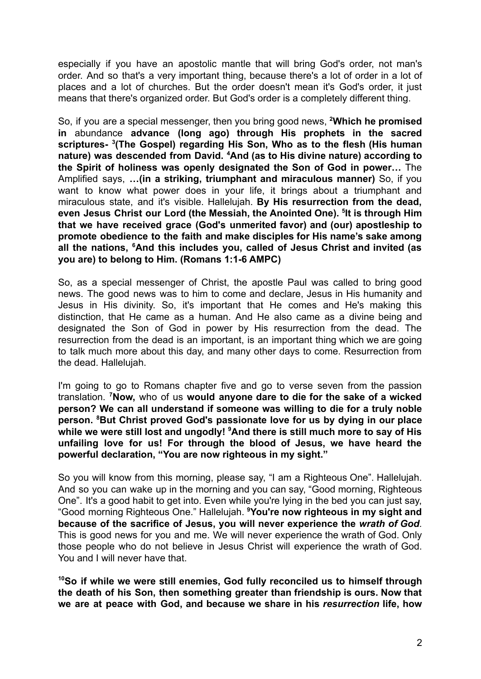especially if you have an apostolic mantle that will bring God's order, not man's order. And so that's a very important thing, because there's a lot of order in a lot of places and a lot of churches. But the order doesn't mean it's God's order, it just means that there's organized order. But God's order is a completely different thing.

So, if you are a special messenger, then you bring good news, **<sup>2</sup>Which he promised in** abundance **advance (long ago) through His prophets in the sacred scriptures- <sup>3</sup> (The Gospel) regarding His Son, Who as to the flesh (His human nature) was descended from David. <sup>4</sup>And (as to His divine nature) according to the Spirit of holiness was openly designated the Son of God in power…** The Amplified says, **…(in a striking, triumphant and miraculous manner)** So, if you want to know what power does in your life, it brings about a triumphant and miraculous state, and it's visible. Hallelujah. **By His resurrection from the dead, even Jesus Christ our Lord (the Messiah, the Anointed One). <sup>5</sup> It is through Him that we have received grace (God's unmerited favor) and (our) apostleship to promote obedience to the faith and make disciples for His name's sake among all the nations, <sup>6</sup>And this includes you, called of Jesus Christ and invited (as you are) to belong to Him. (Romans 1:1-6 AMPC)**

So, as a special messenger of Christ, the apostle Paul was called to bring good news. The good news was to him to come and declare, Jesus in His humanity and Jesus in His divinity. So, it's important that He comes and He's making this distinction, that He came as a human. And He also came as a divine being and designated the Son of God in power by His resurrection from the dead. The resurrection from the dead is an important, is an important thing which we are going to talk much more about this day, and many other days to come. Resurrection from the dead. Hallelujah.

I'm going to go to Romans chapter five and go to verse seven from the passion translation. **<sup>7</sup>Now,** who of us **would anyone dare to die for the sake of a wicked person? We can all understand if someone was willing to die for a truly noble person. <sup>8</sup>But Christ proved God's passionate love for us by dying in our place while we were still lost and ungodly! <sup>9</sup>And there is still much more to say of His unfailing love for us! For through the blood of Jesus, we have heard the powerful declaration, "You are now righteous in my sight."**

So you will know from this morning, please say, "I am a Righteous One". Hallelujah. And so you can wake up in the morning and you can say, "Good morning, Righteous One". It's a good habit to get into. Even while you're lying in the bed you can just say, "Good morning Righteous One." Hallelujah. **<sup>9</sup>You're now righteous in my sight and because of the sacrifice of Jesus, you will never experience the** *wrath of God.* This is good news for you and me. We will never experience the wrath of God. Only those people who do not believe in Jesus Christ will experience the wrath of God. You and I will never have that.

**<sup>10</sup>So if while we were still enemies, God fully reconciled us to himself through the death of his Son, then something greater than friendship is ours. Now that we are at peace with God, and because we share in his** *resurrection* **life, how**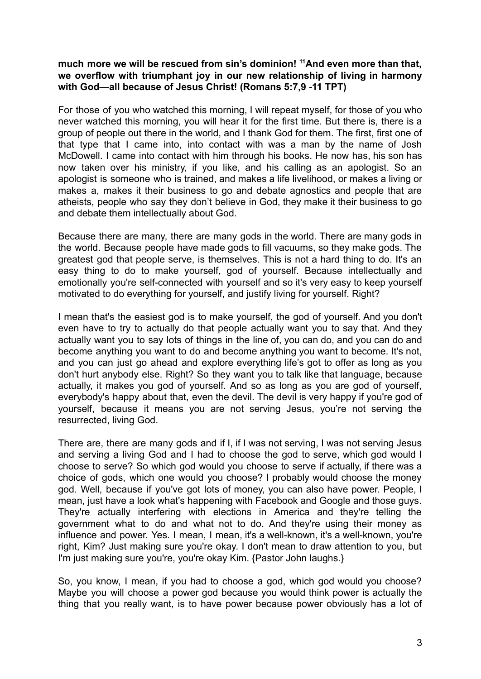## **much more we will be rescued from sin's dominion! <sup>11</sup>And even more than that, we overflow with triumphant joy in our new relationship of living in harmony with God—all because of Jesus Christ! (Romans 5:7,9 -11 TPT)**

For those of you who watched this morning, I will repeat myself, for those of you who never watched this morning, you will hear it for the first time. But there is, there is a group of people out there in the world, and I thank God for them. The first, first one of that type that I came into, into contact with was a man by the name of Josh McDowell. I came into contact with him through his books. He now has, his son has now taken over his ministry, if you like, and his calling as an apologist. So an apologist is someone who is trained, and makes a life livelihood, or makes a living or makes a, makes it their business to go and debate agnostics and people that are atheists, people who say they don't believe in God, they make it their business to go and debate them intellectually about God.

Because there are many, there are many gods in the world. There are many gods in the world. Because people have made gods to fill vacuums, so they make gods. The greatest god that people serve, is themselves. This is not a hard thing to do. It's an easy thing to do to make yourself, god of yourself. Because intellectually and emotionally you're self-connected with yourself and so it's very easy to keep yourself motivated to do everything for yourself, and justify living for yourself. Right?

I mean that's the easiest god is to make yourself, the god of yourself. And you don't even have to try to actually do that people actually want you to say that. And they actually want you to say lots of things in the line of, you can do, and you can do and become anything you want to do and become anything you want to become. It's not, and you can just go ahead and explore everything life's got to offer as long as you don't hurt anybody else. Right? So they want you to talk like that language, because actually, it makes you god of yourself. And so as long as you are god of yourself, everybody's happy about that, even the devil. The devil is very happy if you're god of yourself, because it means you are not serving Jesus, you're not serving the resurrected, living God.

There are, there are many gods and if I, if I was not serving, I was not serving Jesus and serving a living God and I had to choose the god to serve, which god would I choose to serve? So which god would you choose to serve if actually, if there was a choice of gods, which one would you choose? I probably would choose the money god. Well, because if you've got lots of money, you can also have power. People, I mean, just have a look what's happening with Facebook and Google and those guys. They're actually interfering with elections in America and they're telling the government what to do and what not to do. And they're using their money as influence and power. Yes. I mean, I mean, it's a well-known, it's a well-known, you're right, Kim? Just making sure you're okay. I don't mean to draw attention to you, but I'm just making sure you're, you're okay Kim. {Pastor John laughs.}

So, you know, I mean, if you had to choose a god, which god would you choose? Maybe you will choose a power god because you would think power is actually the thing that you really want, is to have power because power obviously has a lot of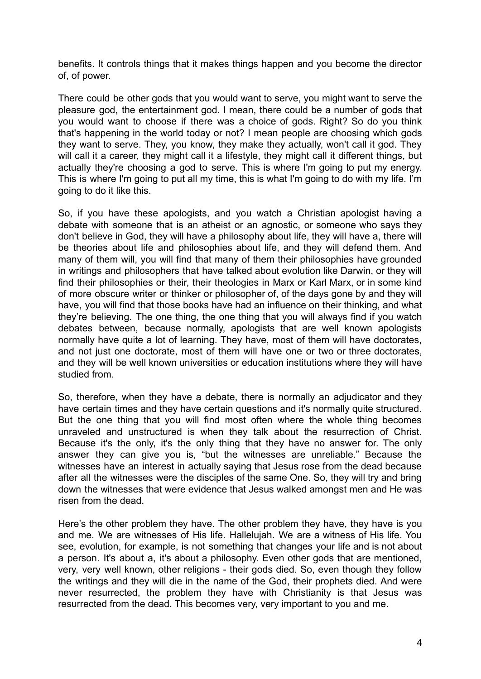benefits. It controls things that it makes things happen and you become the director of, of power.

There could be other gods that you would want to serve, you might want to serve the pleasure god, the entertainment god. I mean, there could be a number of gods that you would want to choose if there was a choice of gods. Right? So do you think that's happening in the world today or not? I mean people are choosing which gods they want to serve. They, you know, they make they actually, won't call it god. They will call it a career, they might call it a lifestyle, they might call it different things, but actually they're choosing a god to serve. This is where I'm going to put my energy. This is where I'm going to put all my time, this is what I'm going to do with my life. I'm going to do it like this.

So, if you have these apologists, and you watch a Christian apologist having a debate with someone that is an atheist or an agnostic, or someone who says they don't believe in God, they will have a philosophy about life, they will have a, there will be theories about life and philosophies about life, and they will defend them. And many of them will, you will find that many of them their philosophies have grounded in writings and philosophers that have talked about evolution like Darwin, or they will find their philosophies or their, their theologies in Marx or Karl Marx, or in some kind of more obscure writer or thinker or philosopher of, of the days gone by and they will have, you will find that those books have had an influence on their thinking, and what they're believing. The one thing, the one thing that you will always find if you watch debates between, because normally, apologists that are well known apologists normally have quite a lot of learning. They have, most of them will have doctorates, and not just one doctorate, most of them will have one or two or three doctorates, and they will be well known universities or education institutions where they will have studied from.

So, therefore, when they have a debate, there is normally an adjudicator and they have certain times and they have certain questions and it's normally quite structured. But the one thing that you will find most often where the whole thing becomes unraveled and unstructured is when they talk about the resurrection of Christ. Because it's the only, it's the only thing that they have no answer for. The only answer they can give you is, "but the witnesses are unreliable." Because the witnesses have an interest in actually saying that Jesus rose from the dead because after all the witnesses were the disciples of the same One. So, they will try and bring down the witnesses that were evidence that Jesus walked amongst men and He was risen from the dead.

Here's the other problem they have. The other problem they have, they have is you and me. We are witnesses of His life. Hallelujah. We are a witness of His life. You see, evolution, for example, is not something that changes your life and is not about a person. It's about a, it's about a philosophy. Even other gods that are mentioned, very, very well known, other religions - their gods died. So, even though they follow the writings and they will die in the name of the God, their prophets died. And were never resurrected, the problem they have with Christianity is that Jesus was resurrected from the dead. This becomes very, very important to you and me.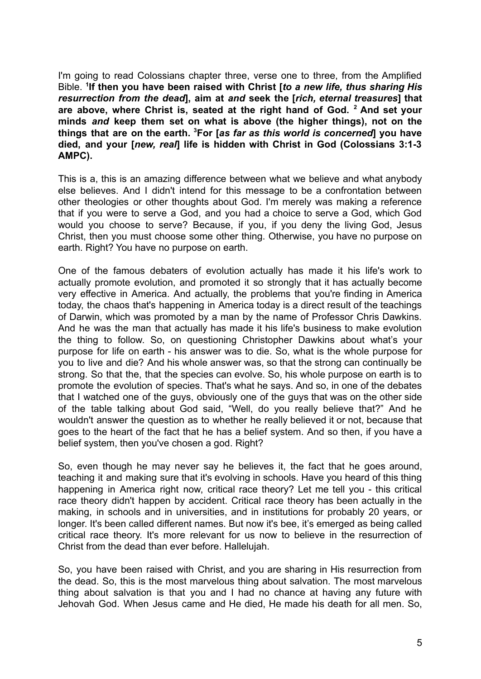I'm going to read Colossians chapter three, verse one to three, from the Amplified Bible. **<sup>1</sup> If then you have been raised with Christ [***to a new life, thus sharing His resurrection from the dead***], aim at** *and* **seek the [***rich, eternal treasures***] that are above, where Christ is, seated at the right hand of God. <sup>2</sup> And set your minds** *and* **keep them set on what is above (the higher things), not on the things that are on the earth. <sup>3</sup>For [***as far as this world is concerned***] you have died, and your [***new, real***] life is hidden with Christ in God (Colossians 3:1-3 AMPC).**

This is a, this is an amazing difference between what we believe and what anybody else believes. And I didn't intend for this message to be a confrontation between other theologies or other thoughts about God. I'm merely was making a reference that if you were to serve a God, and you had a choice to serve a God, which God would you choose to serve? Because, if you, if you deny the living God, Jesus Christ, then you must choose some other thing. Otherwise, you have no purpose on earth. Right? You have no purpose on earth.

One of the famous debaters of evolution actually has made it his life's work to actually promote evolution, and promoted it so strongly that it has actually become very effective in America. And actually, the problems that you're finding in America today, the chaos that's happening in America today is a direct result of the teachings of Darwin, which was promoted by a man by the name of Professor Chris Dawkins. And he was the man that actually has made it his life's business to make evolution the thing to follow. So, on questioning Christopher Dawkins about what's your purpose for life on earth - his answer was to die. So, what is the whole purpose for you to live and die? And his whole answer was, so that the strong can continually be strong. So that the, that the species can evolve. So, his whole purpose on earth is to promote the evolution of species. That's what he says. And so, in one of the debates that I watched one of the guys, obviously one of the guys that was on the other side of the table talking about God said, "Well, do you really believe that?" And he wouldn't answer the question as to whether he really believed it or not, because that goes to the heart of the fact that he has a belief system. And so then, if you have a belief system, then you've chosen a god. Right?

So, even though he may never say he believes it, the fact that he goes around, teaching it and making sure that it's evolving in schools. Have you heard of this thing happening in America right now, critical race theory? Let me tell you - this critical race theory didn't happen by accident. Critical race theory has been actually in the making, in schools and in universities, and in institutions for probably 20 years, or longer. It's been called different names. But now it's bee, it's emerged as being called critical race theory. It's more relevant for us now to believe in the resurrection of Christ from the dead than ever before. Hallelujah.

So, you have been raised with Christ, and you are sharing in His resurrection from the dead. So, this is the most marvelous thing about salvation. The most marvelous thing about salvation is that you and I had no chance at having any future with Jehovah God. When Jesus came and He died, He made his death for all men. So,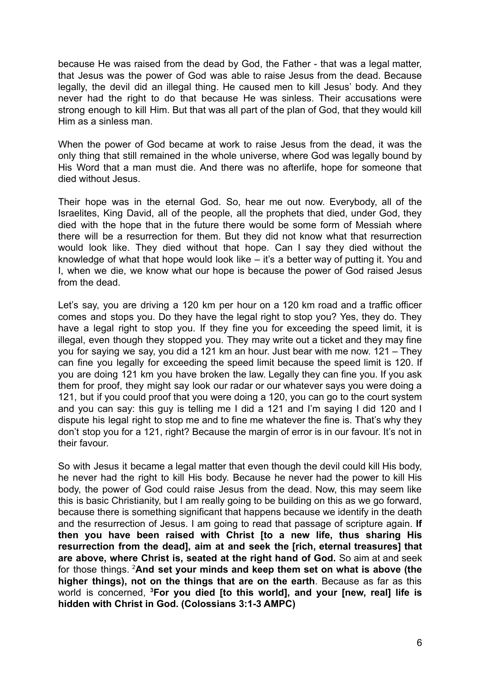because He was raised from the dead by God, the Father - that was a legal matter, that Jesus was the power of God was able to raise Jesus from the dead. Because legally, the devil did an illegal thing. He caused men to kill Jesus' body. And they never had the right to do that because He was sinless. Their accusations were strong enough to kill Him. But that was all part of the plan of God, that they would kill Him as a sinless man.

When the power of God became at work to raise Jesus from the dead, it was the only thing that still remained in the whole universe, where God was legally bound by His Word that a man must die. And there was no afterlife, hope for someone that died without Jesus.

Their hope was in the eternal God. So, hear me out now. Everybody, all of the Israelites, King David, all of the people, all the prophets that died, under God, they died with the hope that in the future there would be some form of Messiah where there will be a resurrection for them. But they did not know what that resurrection would look like. They died without that hope. Can I say they died without the knowledge of what that hope would look like – it's a better way of putting it. You and I, when we die, we know what our hope is because the power of God raised Jesus from the dead.

Let's say, you are driving a 120 km per hour on a 120 km road and a traffic officer comes and stops you. Do they have the legal right to stop you? Yes, they do. They have a legal right to stop you. If they fine you for exceeding the speed limit, it is illegal, even though they stopped you. They may write out a ticket and they may fine you for saying we say, you did a 121 km an hour. Just bear with me now. 121 – They can fine you legally for exceeding the speed limit because the speed limit is 120. If you are doing 121 km you have broken the law. Legally they can fine you. If you ask them for proof, they might say look our radar or our whatever says you were doing a 121, but if you could proof that you were doing a 120, you can go to the court system and you can say: this guy is telling me I did a 121 and I'm saying I did 120 and I dispute his legal right to stop me and to fine me whatever the fine is. That's why they don't stop you for a 121, right? Because the margin of error is in our favour. It's not in their favour.

So with Jesus it became a legal matter that even though the devil could kill His body, he never had the right to kill His body. Because he never had the power to kill His body, the power of God could raise Jesus from the dead. Now, this may seem like this is basic Christianity, but I am really going to be building on this as we go forward, because there is something significant that happens because we identify in the death and the resurrection of Jesus. I am going to read that passage of scripture again. **If then you have been raised with Christ [to a new life, thus sharing His resurrection from the dead], aim at and seek the [rich, eternal treasures] that are above, where Christ is, seated at the right hand of God.** So aim at and seek for those things. <sup>2</sup>**And set your minds and keep them set on what is above (the higher things), not on the things that are on the earth**. Because as far as this world is concerned, **<sup>3</sup>For you died [to this world], and your [new, real] life is hidden with Christ in God. (Colossians 3:1-3 AMPC)**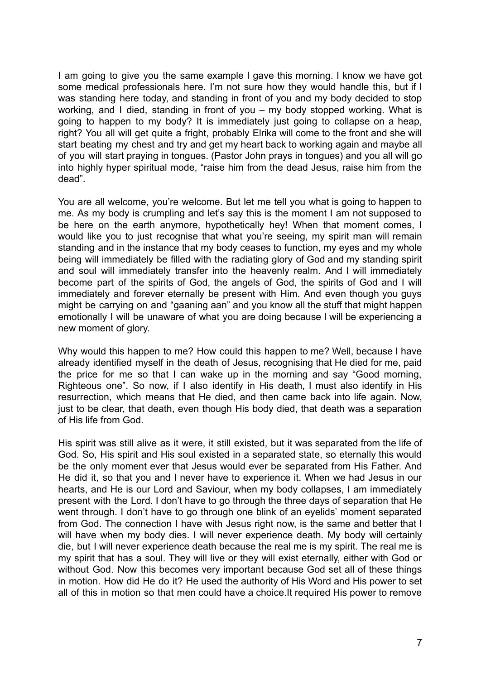I am going to give you the same example I gave this morning. I know we have got some medical professionals here. I'm not sure how they would handle this, but if I was standing here today, and standing in front of you and my body decided to stop working, and I died, standing in front of you – my body stopped working. What is going to happen to my body? It is immediately just going to collapse on a heap, right? You all will get quite a fright, probably Elrika will come to the front and she will start beating my chest and try and get my heart back to working again and maybe all of you will start praying in tongues. (Pastor John prays in tongues) and you all will go into highly hyper spiritual mode, "raise him from the dead Jesus, raise him from the dead".

You are all welcome, you're welcome. But let me tell you what is going to happen to me. As my body is crumpling and let's say this is the moment I am not supposed to be here on the earth anymore, hypothetically hey! When that moment comes, I would like you to just recognise that what you're seeing, my spirit man will remain standing and in the instance that my body ceases to function, my eyes and my whole being will immediately be filled with the radiating glory of God and my standing spirit and soul will immediately transfer into the heavenly realm. And I will immediately become part of the spirits of God, the angels of God, the spirits of God and I will immediately and forever eternally be present with Him. And even though you guys might be carrying on and "gaaning aan" and you know all the stuff that might happen emotionally I will be unaware of what you are doing because I will be experiencing a new moment of glory.

Why would this happen to me? How could this happen to me? Well, because I have already identified myself in the death of Jesus, recognising that He died for me, paid the price for me so that I can wake up in the morning and say "Good morning, Righteous one". So now, if I also identify in His death, I must also identify in His resurrection, which means that He died, and then came back into life again. Now, just to be clear, that death, even though His body died, that death was a separation of His life from God.

His spirit was still alive as it were, it still existed, but it was separated from the life of God. So, His spirit and His soul existed in a separated state, so eternally this would be the only moment ever that Jesus would ever be separated from His Father. And He did it, so that you and I never have to experience it. When we had Jesus in our hearts, and He is our Lord and Saviour, when my body collapses, I am immediately present with the Lord. I don't have to go through the three days of separation that He went through. I don't have to go through one blink of an eyelids' moment separated from God. The connection I have with Jesus right now, is the same and better that I will have when my body dies. I will never experience death. My body will certainly die, but I will never experience death because the real me is my spirit. The real me is my spirit that has a soul. They will live or they will exist eternally, either with God or without God. Now this becomes very important because God set all of these things in motion. How did He do it? He used the authority of His Word and His power to set all of this in motion so that men could have a choice.It required His power to remove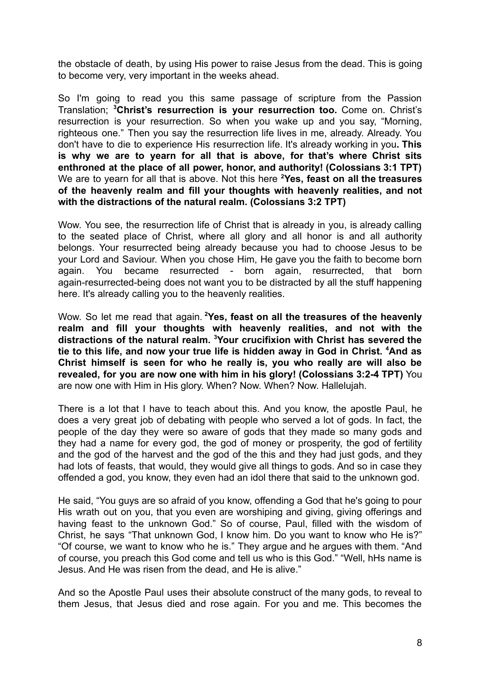the obstacle of death, by using His power to raise Jesus from the dead. This is going to become very, very important in the weeks ahead.

So I'm going to read you this same passage of scripture from the Passion Translation; **<sup>3</sup>Christ's resurrection is your resurrection too.** Come on. Christ's resurrection is your resurrection. So when you wake up and you say, "Morning, righteous one." Then you say the resurrection life lives in me, already. Already. You don't have to die to experience His resurrection life. It's already working in you**. This is why we are to yearn for all that is above, for that's where Christ sits enthroned at the place of all power, honor, and authority! (Colossians 3:1 TPT)** We are to yearn for all that is above. Not this here **<sup>2</sup>Yes, feast on all the treasures of the heavenly realm and fill your thoughts with heavenly realities, and not with the distractions of the natural realm. (Colossians 3:2 TPT)**

Wow. You see, the resurrection life of Christ that is already in you, is already calling to the seated place of Christ, where all glory and all honor is and all authority belongs. Your resurrected being already because you had to choose Jesus to be your Lord and Saviour. When you chose Him, He gave you the faith to become born again. You became resurrected - born again, resurrected, that born again-resurrected-being does not want you to be distracted by all the stuff happening here. It's already calling you to the heavenly realities.

Wow. So let me read that again. **<sup>2</sup>Yes, feast on all the treasures of the heavenly realm and fill your thoughts with heavenly realities, and not with the distractions of the natural realm. <sup>3</sup>Your crucifixion with Christ has severed the tie to this life, and now your true life is hidden away in God in Christ. <sup>4</sup>And as Christ himself is seen for who he really is, you who really are will also be revealed, for you are now one with him in his glory! (Colossians 3:2-4 TPT)** You are now one with Him in His glory. When? Now. When? Now. Hallelujah.

There is a lot that I have to teach about this. And you know, the apostle Paul, he does a very great job of debating with people who served a lot of gods. In fact, the people of the day they were so aware of gods that they made so many gods and they had a name for every god, the god of money or prosperity, the god of fertility and the god of the harvest and the god of the this and they had just gods, and they had lots of feasts, that would, they would give all things to gods. And so in case they offended a god, you know, they even had an idol there that said to the unknown god.

He said, "You guys are so afraid of you know, offending a God that he's going to pour His wrath out on you, that you even are worshiping and giving, giving offerings and having feast to the unknown God." So of course, Paul, filled with the wisdom of Christ, he says "That unknown God, I know him. Do you want to know who He is?" "Of course, we want to know who he is." They argue and he argues with them. "And of course, you preach this God come and tell us who is this God." "Well, hHs name is Jesus. And He was risen from the dead, and He is alive."

And so the Apostle Paul uses their absolute construct of the many gods, to reveal to them Jesus, that Jesus died and rose again. For you and me. This becomes the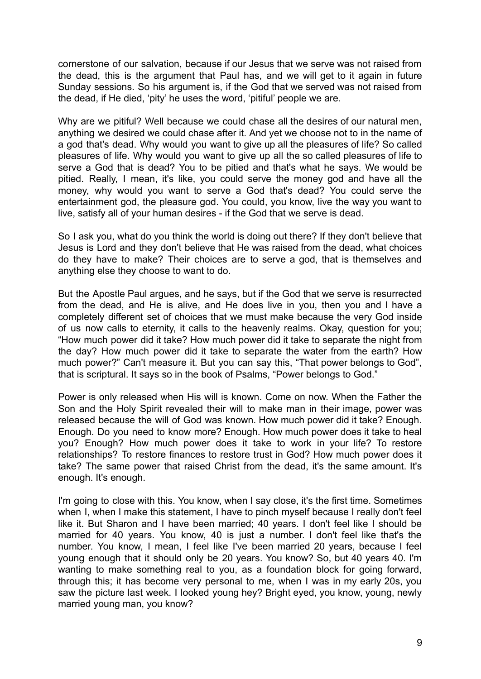cornerstone of our salvation, because if our Jesus that we serve was not raised from the dead, this is the argument that Paul has, and we will get to it again in future Sunday sessions. So his argument is, if the God that we served was not raised from the dead, if He died, 'pity' he uses the word, 'pitiful' people we are.

Why are we pitiful? Well because we could chase all the desires of our natural men. anything we desired we could chase after it. And yet we choose not to in the name of a god that's dead. Why would you want to give up all the pleasures of life? So called pleasures of life. Why would you want to give up all the so called pleasures of life to serve a God that is dead? You to be pitied and that's what he says. We would be pitied. Really, I mean, it's like, you could serve the money god and have all the money, why would you want to serve a God that's dead? You could serve the entertainment god, the pleasure god. You could, you know, live the way you want to live, satisfy all of your human desires - if the God that we serve is dead.

So I ask you, what do you think the world is doing out there? If they don't believe that Jesus is Lord and they don't believe that He was raised from the dead, what choices do they have to make? Their choices are to serve a god, that is themselves and anything else they choose to want to do.

But the Apostle Paul argues, and he says, but if the God that we serve is resurrected from the dead, and He is alive, and He does live in you, then you and I have a completely different set of choices that we must make because the very God inside of us now calls to eternity, it calls to the heavenly realms. Okay, question for you; "How much power did it take? How much power did it take to separate the night from the day? How much power did it take to separate the water from the earth? How much power?" Can't measure it. But you can say this, "That power belongs to God", that is scriptural. It says so in the book of Psalms, "Power belongs to God."

Power is only released when His will is known. Come on now. When the Father the Son and the Holy Spirit revealed their will to make man in their image, power was released because the will of God was known. How much power did it take? Enough. Enough. Do you need to know more? Enough. How much power does it take to heal you? Enough? How much power does it take to work in your life? To restore relationships? To restore finances to restore trust in God? How much power does it take? The same power that raised Christ from the dead, it's the same amount. It's enough. It's enough.

I'm going to close with this. You know, when I say close, it's the first time. Sometimes when I, when I make this statement, I have to pinch myself because I really don't feel like it. But Sharon and I have been married; 40 years. I don't feel like I should be married for 40 years. You know, 40 is just a number. I don't feel like that's the number. You know, I mean, I feel like I've been married 20 years, because I feel young enough that it should only be 20 years. You know? So, but 40 years 40. I'm wanting to make something real to you, as a foundation block for going forward, through this; it has become very personal to me, when I was in my early 20s, you saw the picture last week. I looked young hey? Bright eyed, you know, young, newly married young man, you know?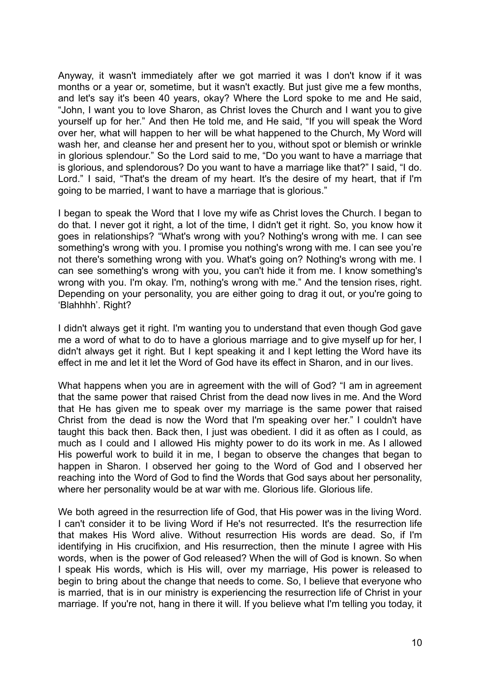Anyway, it wasn't immediately after we got married it was I don't know if it was months or a year or, sometime, but it wasn't exactly. But just give me a few months, and let's say it's been 40 years, okay? Where the Lord spoke to me and He said, "John, I want you to love Sharon, as Christ loves the Church and I want you to give yourself up for her." And then He told me, and He said, "If you will speak the Word over her, what will happen to her will be what happened to the Church, My Word will wash her, and cleanse her and present her to you, without spot or blemish or wrinkle in glorious splendour." So the Lord said to me, "Do you want to have a marriage that is glorious, and splendorous? Do you want to have a marriage like that?" I said, "I do. Lord." I said. "That's the dream of my heart. It's the desire of my heart, that if I'm going to be married, I want to have a marriage that is glorious."

I began to speak the Word that I love my wife as Christ loves the Church. I began to do that. I never got it right, a lot of the time, I didn't get it right. So, you know how it goes in relationships? "What's wrong with you? Nothing's wrong with me. I can see something's wrong with you. I promise you nothing's wrong with me. I can see you're not there's something wrong with you. What's going on? Nothing's wrong with me. I can see something's wrong with you, you can't hide it from me. I know something's wrong with you. I'm okay. I'm, nothing's wrong with me." And the tension rises, right. Depending on your personality, you are either going to drag it out, or you're going to 'Blahhhh'. Right?

I didn't always get it right. I'm wanting you to understand that even though God gave me a word of what to do to have a glorious marriage and to give myself up for her, I didn't always get it right. But I kept speaking it and I kept letting the Word have its effect in me and let it let the Word of God have its effect in Sharon, and in our lives.

What happens when you are in agreement with the will of God? "I am in agreement that the same power that raised Christ from the dead now lives in me. And the Word that He has given me to speak over my marriage is the same power that raised Christ from the dead is now the Word that I'm speaking over her." I couldn't have taught this back then. Back then, I just was obedient. I did it as often as I could, as much as I could and I allowed His mighty power to do its work in me. As I allowed His powerful work to build it in me, I began to observe the changes that began to happen in Sharon. I observed her going to the Word of God and I observed her reaching into the Word of God to find the Words that God says about her personality, where her personality would be at war with me. Glorious life. Glorious life.

We both agreed in the resurrection life of God, that His power was in the living Word. I can't consider it to be living Word if He's not resurrected. It's the resurrection life that makes His Word alive. Without resurrection His words are dead. So, if I'm identifying in His crucifixion, and His resurrection, then the minute I agree with His words, when is the power of God released? When the will of God is known. So when I speak His words, which is His will, over my marriage, His power is released to begin to bring about the change that needs to come. So, I believe that everyone who is married, that is in our ministry is experiencing the resurrection life of Christ in your marriage. If you're not, hang in there it will. If you believe what I'm telling you today, it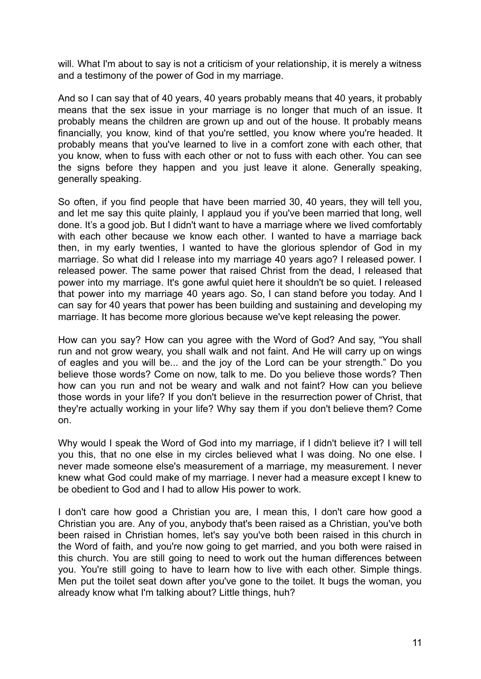will. What I'm about to say is not a criticism of your relationship, it is merely a witness and a testimony of the power of God in my marriage.

And so I can say that of 40 years, 40 years probably means that 40 years, it probably means that the sex issue in your marriage is no longer that much of an issue. It probably means the children are grown up and out of the house. It probably means financially, you know, kind of that you're settled, you know where you're headed. It probably means that you've learned to live in a comfort zone with each other, that you know, when to fuss with each other or not to fuss with each other. You can see the signs before they happen and you just leave it alone. Generally speaking, generally speaking.

So often, if you find people that have been married 30, 40 years, they will tell you, and let me say this quite plainly, I applaud you if you've been married that long, well done. It's a good job. But I didn't want to have a marriage where we lived comfortably with each other because we know each other. I wanted to have a marriage back then, in my early twenties, I wanted to have the glorious splendor of God in my marriage. So what did I release into my marriage 40 years ago? I released power. I released power. The same power that raised Christ from the dead, I released that power into my marriage. It's gone awful quiet here it shouldn't be so quiet. I released that power into my marriage 40 years ago. So, I can stand before you today. And I can say for 40 years that power has been building and sustaining and developing my marriage. It has become more glorious because we've kept releasing the power.

How can you say? How can you agree with the Word of God? And say, "You shall run and not grow weary, you shall walk and not faint. And He will carry up on wings of eagles and you will be... and the joy of the Lord can be your strength." Do you believe those words? Come on now, talk to me. Do you believe those words? Then how can you run and not be weary and walk and not faint? How can you believe those words in your life? If you don't believe in the resurrection power of Christ, that they're actually working in your life? Why say them if you don't believe them? Come on.

Why would I speak the Word of God into my marriage, if I didn't believe it? I will tell you this, that no one else in my circles believed what I was doing. No one else. I never made someone else's measurement of a marriage, my measurement. I never knew what God could make of my marriage. I never had a measure except I knew to be obedient to God and I had to allow His power to work.

I don't care how good a Christian you are, I mean this, I don't care how good a Christian you are. Any of you, anybody that's been raised as a Christian, you've both been raised in Christian homes, let's say you've both been raised in this church in the Word of faith, and you're now going to get married, and you both were raised in this church. You are still going to need to work out the human differences between you. You're still going to have to learn how to live with each other. Simple things. Men put the toilet seat down after you've gone to the toilet. It bugs the woman, you already know what I'm talking about? Little things, huh?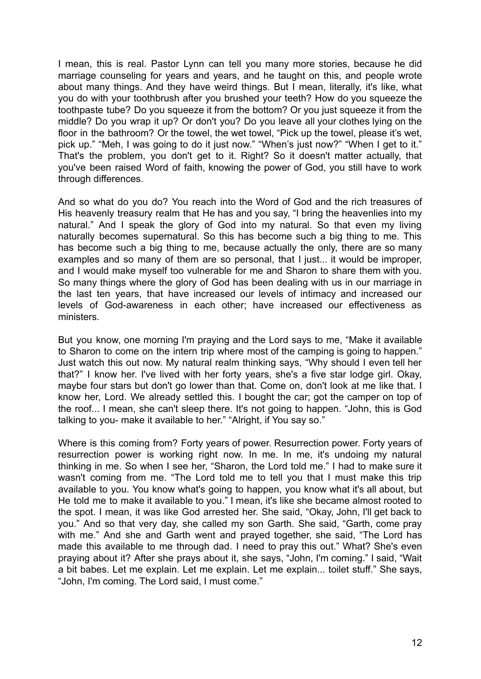I mean, this is real. Pastor Lynn can tell you many more stories, because he did marriage counseling for years and years, and he taught on this, and people wrote about many things. And they have weird things. But I mean, literally, it's like, what you do with your toothbrush after you brushed your teeth? How do you squeeze the toothpaste tube? Do you squeeze it from the bottom? Or you just squeeze it from the middle? Do you wrap it up? Or don't you? Do you leave all your clothes lying on the floor in the bathroom? Or the towel, the wet towel, "Pick up the towel, please it's wet, pick up." "Meh, I was going to do it just now." "When's just now?" "When I get to it." That's the problem, you don't get to it. Right? So it doesn't matter actually, that you've been raised Word of faith, knowing the power of God, you still have to work through differences.

And so what do you do? You reach into the Word of God and the rich treasures of His heavenly treasury realm that He has and you say, "I bring the heavenlies into my natural." And I speak the glory of God into my natural. So that even my living naturally becomes supernatural. So this has become such a big thing to me. This has become such a big thing to me, because actually the only, there are so many examples and so many of them are so personal, that I just... it would be improper, and I would make myself too vulnerable for me and Sharon to share them with you. So many things where the glory of God has been dealing with us in our marriage in the last ten years, that have increased our levels of intimacy and increased our levels of God-awareness in each other; have increased our effectiveness as ministers.

But you know, one morning I'm praying and the Lord says to me, "Make it available to Sharon to come on the intern trip where most of the camping is going to happen." Just watch this out now. My natural realm thinking says, "Why should I even tell her that?" I know her. I've lived with her forty years, she's a five star lodge girl. Okay, maybe four stars but don't go lower than that. Come on, don't look at me like that. I know her, Lord. We already settled this. I bought the car; got the camper on top of the roof... I mean, she can't sleep there. It's not going to happen. "John, this is God talking to you- make it available to her." "Alright, if You say so."

Where is this coming from? Forty years of power. Resurrection power. Forty years of resurrection power is working right now. In me. In me, it's undoing my natural thinking in me. So when I see her, "Sharon, the Lord told me." I had to make sure it wasn't coming from me. "The Lord told me to tell you that I must make this trip available to you. You know what's going to happen, you know what it's all about, but He told me to make it available to you." I mean, it's like she became almost rooted to the spot. I mean, it was like God arrested her. She said, "Okay, John, I'll get back to you." And so that very day, she called my son Garth. She said, "Garth, come pray with me." And she and Garth went and prayed together, she said, "The Lord has made this available to me through dad. I need to pray this out." What? She's even praying about it? After she prays about it, she says, "John, I'm coming." I said, "Wait a bit babes. Let me explain. Let me explain. Let me explain... toilet stuff." She says, "John, I'm coming. The Lord said, I must come."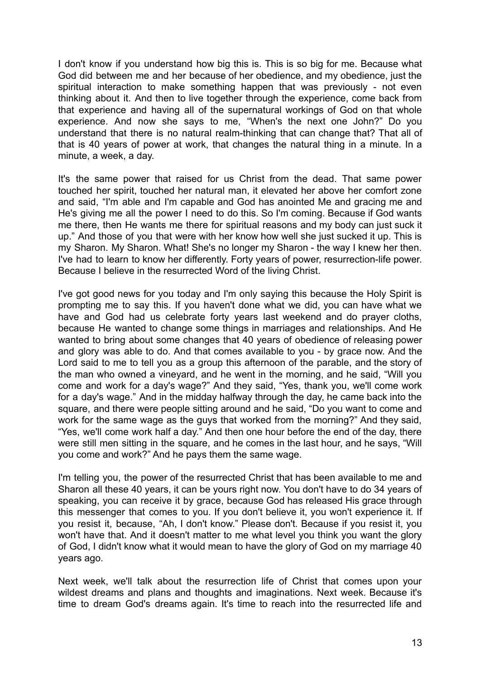I don't know if you understand how big this is. This is so big for me. Because what God did between me and her because of her obedience, and my obedience, just the spiritual interaction to make something happen that was previously - not even thinking about it. And then to live together through the experience, come back from that experience and having all of the supernatural workings of God on that whole experience. And now she says to me, "When's the next one John?" Do you understand that there is no natural realm-thinking that can change that? That all of that is 40 years of power at work, that changes the natural thing in a minute. In a minute, a week, a day.

It's the same power that raised for us Christ from the dead. That same power touched her spirit, touched her natural man, it elevated her above her comfort zone and said, "I'm able and I'm capable and God has anointed Me and gracing me and He's giving me all the power I need to do this. So I'm coming. Because if God wants me there, then He wants me there for spiritual reasons and my body can just suck it up." And those of you that were with her know how well she just sucked it up. This is my Sharon. My Sharon. What! She's no longer my Sharon - the way I knew her then. I've had to learn to know her differently. Forty years of power, resurrection-life power. Because I believe in the resurrected Word of the living Christ.

I've got good news for you today and I'm only saying this because the Holy Spirit is prompting me to say this. If you haven't done what we did, you can have what we have and God had us celebrate forty years last weekend and do prayer cloths, because He wanted to change some things in marriages and relationships. And He wanted to bring about some changes that 40 years of obedience of releasing power and glory was able to do. And that comes available to you - by grace now. And the Lord said to me to tell you as a group this afternoon of the parable, and the story of the man who owned a vineyard, and he went in the morning, and he said, "Will you come and work for a day's wage?" And they said, "Yes, thank you, we'll come work for a day's wage." And in the midday halfway through the day, he came back into the square, and there were people sitting around and he said, "Do you want to come and work for the same wage as the guys that worked from the morning?" And they said, "Yes, we'll come work half a day." And then one hour before the end of the day, there were still men sitting in the square, and he comes in the last hour, and he says, "Will you come and work?" And he pays them the same wage.

I'm telling you, the power of the resurrected Christ that has been available to me and Sharon all these 40 years, it can be yours right now. You don't have to do 34 years of speaking, you can receive it by grace, because God has released His grace through this messenger that comes to you. If you don't believe it, you won't experience it. If you resist it, because, "Ah, I don't know." Please don't. Because if you resist it, you won't have that. And it doesn't matter to me what level you think you want the glory of God, I didn't know what it would mean to have the glory of God on my marriage 40 years ago.

Next week, we'll talk about the resurrection life of Christ that comes upon your wildest dreams and plans and thoughts and imaginations. Next week. Because it's time to dream God's dreams again. It's time to reach into the resurrected life and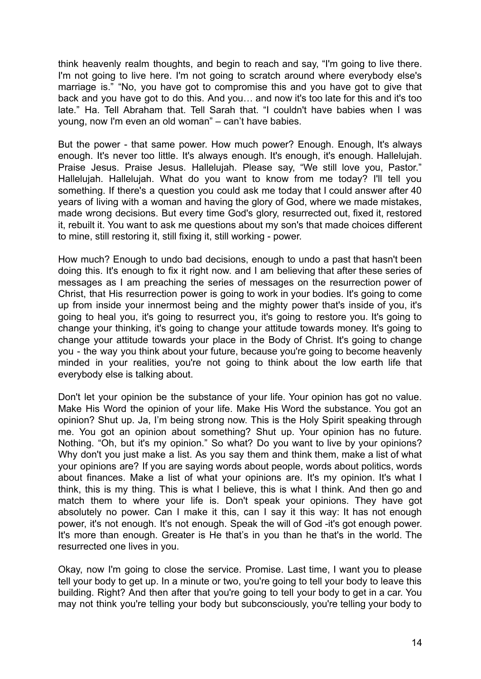think heavenly realm thoughts, and begin to reach and say, "I'm going to live there. I'm not going to live here. I'm not going to scratch around where everybody else's marriage is." "No, you have got to compromise this and you have got to give that back and you have got to do this. And you… and now it's too late for this and it's too late." Ha. Tell Abraham that. Tell Sarah that. "I couldn't have babies when I was young, now I'm even an old woman" – can't have babies.

But the power - that same power. How much power? Enough. Enough, It's always enough. It's never too little. It's always enough. It's enough, it's enough. Hallelujah. Praise Jesus. Praise Jesus. Hallelujah. Please say, "We still love you, Pastor." Hallelujah. Hallelujah. What do you want to know from me today? I'll tell you something. If there's a question you could ask me today that I could answer after 40 years of living with a woman and having the glory of God, where we made mistakes, made wrong decisions. But every time God's glory, resurrected out, fixed it, restored it, rebuilt it. You want to ask me questions about my son's that made choices different to mine, still restoring it, still fixing it, still working - power.

How much? Enough to undo bad decisions, enough to undo a past that hasn't been doing this. It's enough to fix it right now, and I am believing that after these series of messages as I am preaching the series of messages on the resurrection power of Christ, that His resurrection power is going to work in your bodies. It's going to come up from inside your innermost being and the mighty power that's inside of you, it's going to heal you, it's going to resurrect you, it's going to restore you. It's going to change your thinking, it's going to change your attitude towards money. It's going to change your attitude towards your place in the Body of Christ. It's going to change you - the way you think about your future, because you're going to become heavenly minded in your realities, you're not going to think about the low earth life that everybody else is talking about.

Don't let your opinion be the substance of your life. Your opinion has got no value. Make His Word the opinion of your life. Make His Word the substance. You got an opinion? Shut up. Ja, I'm being strong now. This is the Holy Spirit speaking through me. You got an opinion about something? Shut up. Your opinion has no future. Nothing. "Oh, but it's my opinion." So what? Do you want to live by your opinions? Why don't you just make a list. As you say them and think them, make a list of what your opinions are? If you are saying words about people, words about politics, words about finances. Make a list of what your opinions are. It's my opinion. It's what I think, this is my thing. This is what I believe, this is what I think. And then go and match them to where your life is. Don't speak your opinions. They have got absolutely no power. Can I make it this, can I say it this way: It has not enough power, it's not enough. It's not enough. Speak the will of God -it's got enough power. It's more than enough. Greater is He that's in you than he that's in the world. The resurrected one lives in you.

Okay, now I'm going to close the service. Promise. Last time, I want you to please tell your body to get up. In a minute or two, you're going to tell your body to leave this building. Right? And then after that you're going to tell your body to get in a car. You may not think you're telling your body but subconsciously, you're telling your body to